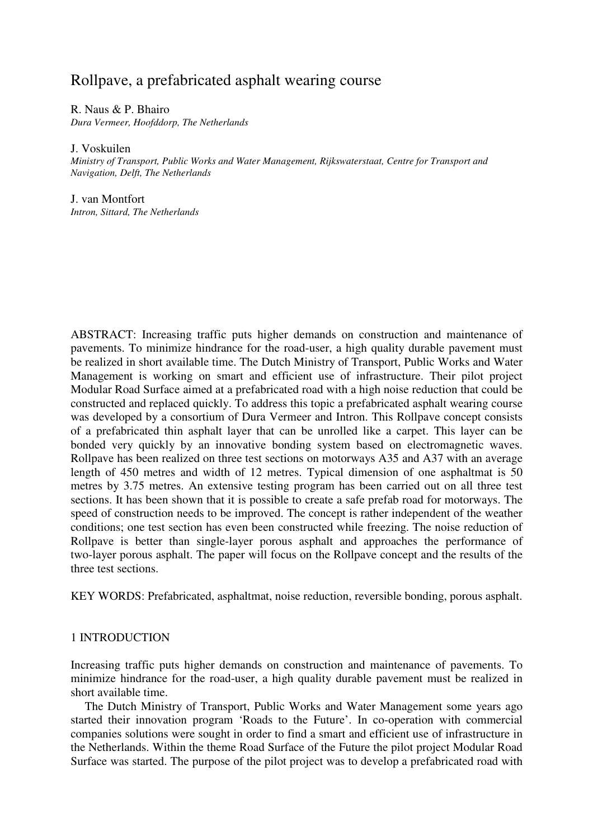# Rollpave, a prefabricated asphalt wearing course

R. Naus & P. Bhairo *Dura Vermeer, Hoofddorp, The Netherlands*

J. Voskuilen

*Ministry of Transport, Public Works and Water Management, Rijkswaterstaat, Centre for Transport and Navigation, Delft, The Netherlands*

J. van Montfort *Intron, Sittard, The Netherlands*

ABSTRACT: Increasing traffic puts higher demands on construction and maintenance of pavements. To minimize hindrance for the road-user, a high quality durable pavement must be realized in short available time. The Dutch Ministry of Transport, Public Works and Water Management is working on smart and efficient use of infrastructure. Their pilot project Modular Road Surface aimed at a prefabricated road with a high noise reduction that could be constructed and replaced quickly. To address this topic a prefabricated asphalt wearing course was developed by a consortium of Dura Vermeer and Intron. This Rollpave concept consists of a prefabricated thin asphalt layer that can be unrolled like a carpet. This layer can be bonded very quickly by an innovative bonding system based on electromagnetic waves. Rollpave has been realized on three test sections on motorways A35 and A37 with an average length of 450 metres and width of 12 metres. Typical dimension of one asphaltmat is 50 metres by 3.75 metres. An extensive testing program has been carried out on all three test sections. It has been shown that it is possible to create a safe prefab road for motorways. The speed of construction needs to be improved. The concept is rather independent of the weather conditions; one test section has even been constructed while freezing. The noise reduction of Rollpave is better than single-layer porous asphalt and approaches the performance of two-layer porous asphalt. The paper will focus on the Rollpave concept and the results of the three test sections.

KEY WORDS: Prefabricated, asphaltmat, noise reduction, reversible bonding, porous asphalt.

# 1 INTRODUCTION

Increasing traffic puts higher demands on construction and maintenance of pavements. To minimize hindrance for the road-user, a high quality durable pavement must be realized in short available time.

The Dutch Ministry of Transport, Public Works and Water Management some years ago started their innovation program 'Roads to the Future'. In co-operation with commercial companies solutions were sought in order to find a smart and efficient use of infrastructure in the Netherlands. Within the theme Road Surface of the Future the pilot project Modular Road Surface was started. The purpose of the pilot project was to develop a prefabricated road with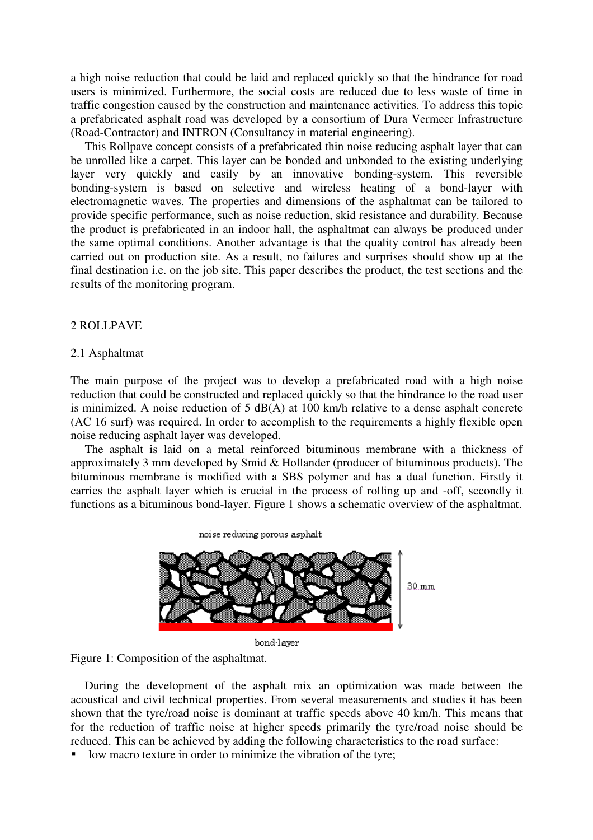a high noise reduction that could be laid and replaced quickly so that the hindrance for road users is minimized. Furthermore, the social costs are reduced due to less waste of time in traffic congestion caused by the construction and maintenance activities. To address this topic a prefabricated asphalt road was developed by a consortium of Dura Vermeer Infrastructure (Road-Contractor) and INTRON (Consultancy in material engineering).

This Rollpave concept consists of a prefabricated thin noise reducing asphalt layer that can be unrolled like a carpet. This layer can be bonded and unbonded to the existing underlying layer very quickly and easily by an innovative bonding-system. This reversible bonding-system is based on selective and wireless heating of a bond-layer with electromagnetic waves. The properties and dimensions of the asphaltmat can be tailored to provide specific performance, such as noise reduction, skid resistance and durability. Because the product is prefabricated in an indoor hall, the asphaltmat can always be produced under the same optimal conditions. Another advantage is that the quality control has already been carried out on production site. As a result, no failures and surprises should show up at the final destination i.e. on the job site. This paper describes the product, the test sections and the results of the monitoring program.

# 2 ROLLPAVE

#### 2.1 Asphaltmat

The main purpose of the project was to develop a prefabricated road with a high noise reduction that could be constructed and replaced quickly so that the hindrance to the road user is minimized. A noise reduction of  $5 \text{ dB}(A)$  at  $100 \text{ km/h}$  relative to a dense asphalt concrete (AC 16 surf) was required. In order to accomplish to the requirements a highly flexible open noise reducing asphalt layer was developed.

The asphalt is laid on a metal reinforced bituminous membrane with a thickness of approximately 3 mm developed by Smid & Hollander (producer of bituminous products). The bituminous membrane is modified with a SBS polymer and has a dual function. Firstly it carries the asphalt layer which is crucial in the process of rolling up and -off, secondly it functions as a bituminous bond-layer. Figure 1 shows a schematic overview of the asphaltmat.

 $30 \text{ mm}$ 

bond-layer

noise reducing porous asphalt



During the development of the asphalt mix an optimization was made between the acoustical and civil technical properties. From several measurements and studies it has been shown that the tyre/road noise is dominant at traffic speeds above 40 km/h. This means that for the reduction of traffic noise at higher speeds primarily the tyre/road noise should be reduced. This can be achieved by adding the following characteristics to the road surface:

low macro texture in order to minimize the vibration of the tyre;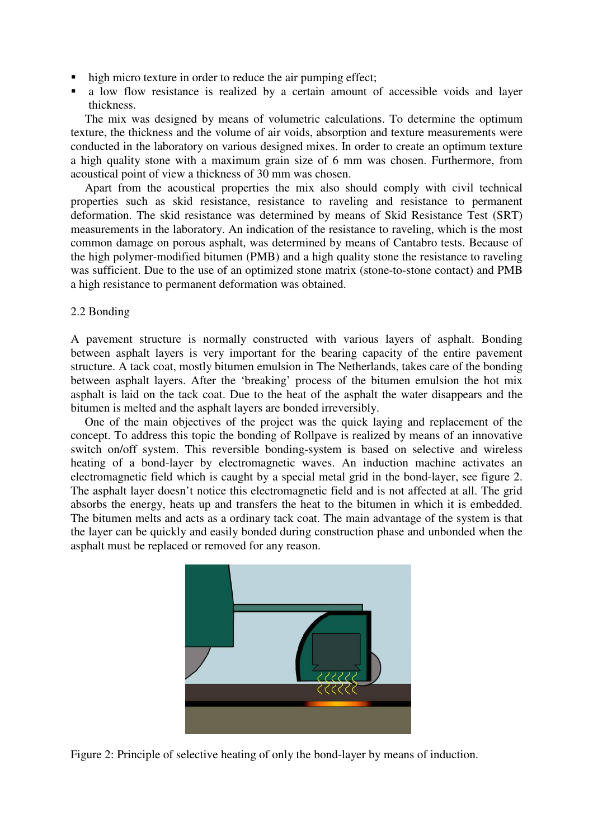- high micro texture in order to reduce the air pumping effect;
- a low flow resistance is realized by a certain amount of accessible voids and layer thickness.

The mix was designed by means of volumetric calculations. To determine the optimum texture, the thickness and the volume of air voids, absorption and texture measurements were conducted in the laboratory on various designed mixes. In order to create an optimum texture a high quality stone with a maximum grain size of 6 mm was chosen. Furthermore, from acoustical point of view a thickness of 30 mm was chosen.

Apart from the acoustical properties the mix also should comply with civil technical properties such as skid resistance, resistance to raveling and resistance to permanent deformation. The skid resistance was determined by means of Skid Resistance Test (SRT) measurements in the laboratory. An indication of the resistance to raveling, which is the most common damage on porous asphalt, was determined by means of Cantabro tests. Because of the high polymer-modified bitumen (PMB) and a high quality stone the resistance to raveling was sufficient. Due to the use of an optimized stone matrix (stone-to-stone contact) and PMB a high resistance to permanent deformation was obtained.

#### 2.2 Bonding

A pavement structure is normally constructed with various layers of asphalt. Bonding between asphalt layers is very important for the bearing capacity of the entire pavement structure. A tack coat, mostly bitumen emulsion in The Netherlands, takes care of the bonding between asphalt layers. After the 'breaking' process of the bitumen emulsion the hot mix asphalt is laid on the tack coat. Due to the heat of the asphalt the water disappears and the bitumen is melted and the asphalt layers are bonded irreversibly.

One of the main objectives of the project was the quick laying and replacement of the concept. To address this topic the bonding of Rollpave is realized by means of an innovative switch on/off system. This reversible bonding-system is based on selective and wireless heating of a bond-layer by electromagnetic waves. An induction machine activates an electromagnetic field which is caught by a special metal grid in the bond-layer, see figure 2. The asphalt layer doesn't notice this electromagnetic field and is not affected at all. The grid absorbs the energy, heats up and transfers the heat to the bitumen in which it is embedded. The bitumen melts and acts as a ordinary tack coat. The main advantage of the system is that the layer can be quickly and easily bonded during construction phase and unbonded when the asphalt must be replaced or removed for any reason.



Figure 2: Principle of selective heating of only the bond-layer by means of induction.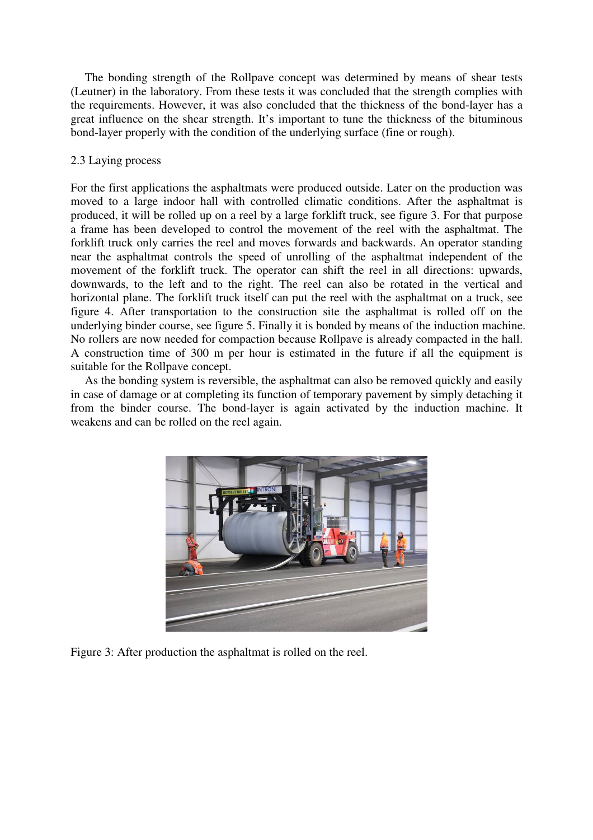The bonding strength of the Rollpave concept was determined by means of shear tests (Leutner) in the laboratory. From these tests it was concluded that the strength complies with the requirements. However, it was also concluded that the thickness of the bond-layer has a great influence on the shear strength. It's important to tune the thickness of the bituminous bond-layer properly with the condition of the underlying surface (fine or rough).

# 2.3 Laying process

For the first applications the asphaltmats were produced outside. Later on the production was moved to a large indoor hall with controlled climatic conditions. After the asphaltmat is produced, it will be rolled up on a reel by a large forklift truck, see figure 3. For that purpose a frame has been developed to control the movement of the reel with the asphaltmat. The forklift truck only carries the reel and moves forwards and backwards. An operator standing near the asphaltmat controls the speed of unrolling of the asphaltmat independent of the movement of the forklift truck. The operator can shift the reel in all directions: upwards, downwards, to the left and to the right. The reel can also be rotated in the vertical and horizontal plane. The forklift truck itself can put the reel with the asphaltmat on a truck, see figure 4. After transportation to the construction site the asphaltmat is rolled off on the underlying binder course, see figure 5. Finally it is bonded by means of the induction machine. No rollers are now needed for compaction because Rollpave is already compacted in the hall. A construction time of 300 m per hour is estimated in the future if all the equipment is suitable for the Rollpave concept.

As the bonding system is reversible, the asphaltmat can also be removed quickly and easily in case of damage or at completing its function of temporary pavement by simply detaching it from the binder course. The bond-layer is again activated by the induction machine. It weakens and can be rolled on the reel again.



Figure 3: After production the asphaltmat is rolled on the reel.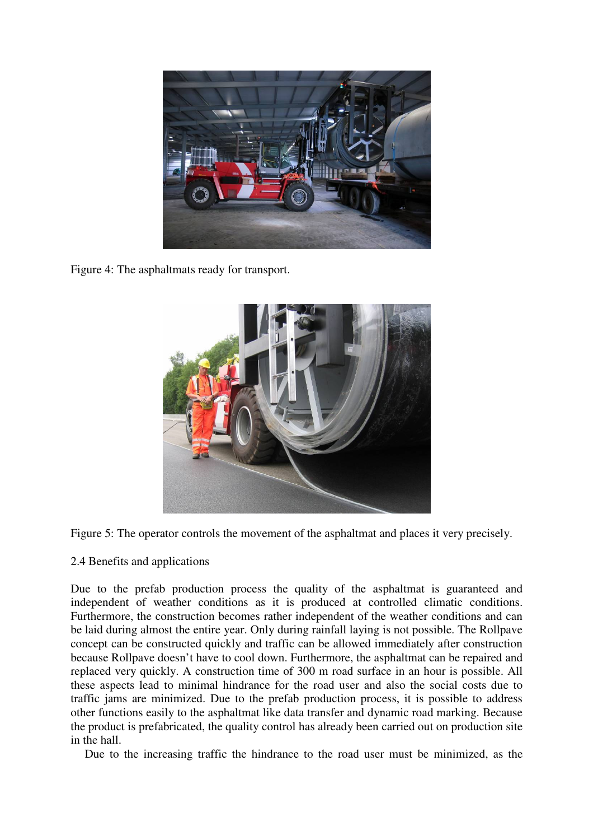

Figure 4: The asphaltmats ready for transport.





# 2.4 Benefits and applications

Due to the prefab production process the quality of the asphaltmat is guaranteed and independent of weather conditions as it is produced at controlled climatic conditions. Furthermore, the construction becomes rather independent of the weather conditions and can be laid during almost the entire year. Only during rainfall laying is not possible. The Rollpave concept can be constructed quickly and traffic can be allowed immediately after construction because Rollpave doesn't have to cool down. Furthermore, the asphaltmat can be repaired and replaced very quickly. A construction time of 300 m road surface in an hour is possible. All these aspects lead to minimal hindrance for the road user and also the social costs due to traffic jams are minimized. Due to the prefab production process, it is possible to address other functions easily to the asphaltmat like data transfer and dynamic road marking. Because the product is prefabricated, the quality control has already been carried out on production site in the hall.

Due to the increasing traffic the hindrance to the road user must be minimized, as the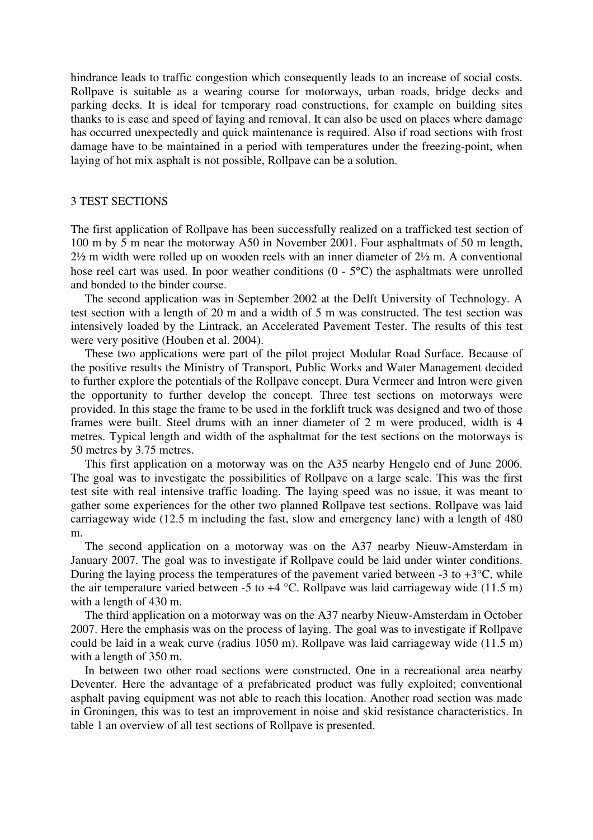hindrance leads to traffic congestion which consequently leads to an increase of social costs. Rollpave is suitable as a wearing course for motorways, urban roads, bridge decks and parking decks. It is ideal for temporary road constructions, for example on building sites thanks to is ease and speed of laying and removal. It can also be used on places where damage has occurred unexpectedly and quick maintenance is required. Also if road sections with frost damage have to be maintained in a period with temperatures under the freezing-point, when laying of hot mix asphalt is not possible, Rollpave can be a solution.

#### 3 TEST SECTIONS

The first application of Rollpave has been successfully realized on a trafficked test section of 100 m by 5 m near the motorway A50 in November 2001. Four asphaltmats of 50 m length, 2½ m width were rolled up on wooden reels with an inner diameter of 2½ m. A conventional hose reel cart was used. In poor weather conditions (0 - 5<sup>o</sup>C) the asphaltmats were unrolled and bonded to the binder course.

The second application was in September 2002 at the Delft University of Technology. A test section with a length of 20 m and a width of 5 m was constructed. The test section was intensively loaded by the Lintrack, an Accelerated Pavement Tester. The results of this test were very positive (Houben et al. 2004).

These two applications were part of the pilot project Modular Road Surface. Because of the positive results the Ministry of Transport, Public Works and Water Management decided to further explore the potentials of the Rollpave concept. Dura Vermeer and Intron were given the opportunity to further develop the concept. Three test sections on motorways were provided. In this stage the frame to be used in the forklift truck was designed and two of those frames were built. Steel drums with an inner diameter of 2 m were produced, width is 4 metres. Typical length and width of the asphaltmat for the test sections on the motorways is 50 metres by 3.75 metres.

This first application on a motorway was on the A35 nearby Hengelo end of June 2006. The goal was to investigate the possibilities of Rollpave on a large scale. This was the first test site with real intensive traffic loading. The laying speed was no issue, it was meant to gather some experiences for the other two planned Rollpave test sections. Rollpave was laid carriageway wide (12.5 m including the fast, slow and emergency lane) with a length of 480 m.

The second application on a motorway was on the A37 nearby Nieuw-Amsterdam in January 2007. The goal was to investigate if Rollpave could be laid under winter conditions. During the laying process the temperatures of the pavement varied between  $-3$  to  $+3^{\circ}C$ , while the air temperature varied between -5 to  $+4$  °C. Rollpave was laid carriageway wide (11.5 m) with a length of 430 m.

The third application on a motorway was on the A37 nearby Nieuw-Amsterdam in October 2007. Here the emphasis was on the process of laying. The goal was to investigate if Rollpave could be laid in a weak curve (radius 1050 m). Rollpave was laid carriageway wide (11.5 m) with a length of 350 m.

In between two other road sections were constructed. One in a recreational area nearby Deventer. Here the advantage of a prefabricated product was fully exploited; conventional asphalt paving equipment was not able to reach this location. Another road section was made in Groningen, this was to test an improvement in noise and skid resistance characteristics. In table 1 an overview of all test sections of Rollpave is presented.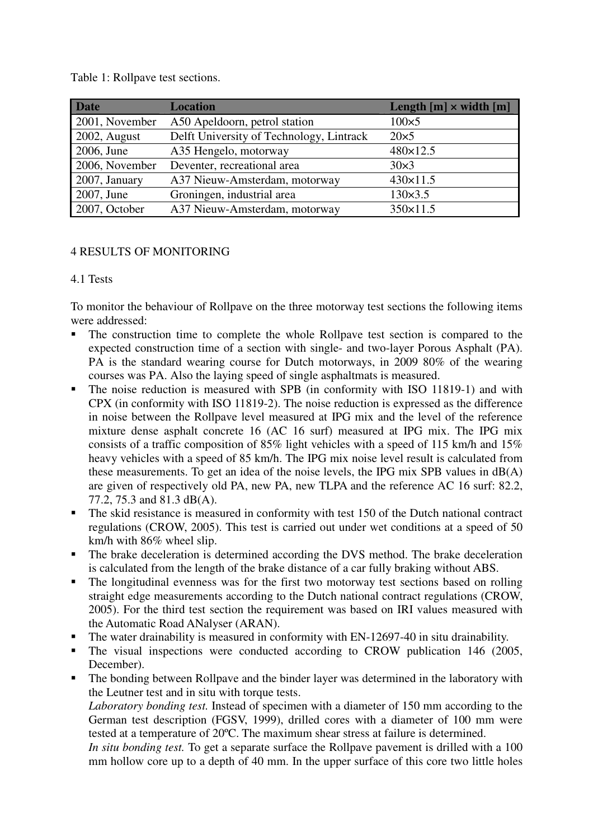| <b>Date</b>    | <b>Location</b>                          | Length $[m] \times$ width $[m]$ |
|----------------|------------------------------------------|---------------------------------|
| 2001, November | A50 Apeldoorn, petrol station            | $100\times 5$                   |
| 2002, August   | Delft University of Technology, Lintrack | $20\times 5$                    |
| 2006, June     | A35 Hengelo, motorway                    | 480×12.5                        |
| 2006, November | Deventer, recreational area              | $30\times3$                     |
| 2007, January  | A37 Nieuw-Amsterdam, motorway            | $430 \times 11.5$               |
| 2007, June     | Groningen, industrial area               | $130 \times 3.5$                |
| 2007, October  | A37 Nieuw-Amsterdam, motorway            | $350 \times 11.5$               |

Table 1: Rollpave test sections.

# 4 RESULTS OF MONITORING

# 4.1 Tests

To monitor the behaviour of Rollpave on the three motorway test sections the following items were addressed:

- The construction time to complete the whole Rollpave test section is compared to the expected construction time of a section with single- and two-layer Porous Asphalt (PA). PA is the standard wearing course for Dutch motorways, in 2009 80% of the wearing courses was PA. Also the laying speed of single asphaltmats is measured.
- The noise reduction is measured with SPB (in conformity with ISO 11819-1) and with CPX (in conformity with ISO 11819-2). The noise reduction is expressed as the difference in noise between the Rollpave level measured at IPG mix and the level of the reference mixture dense asphalt concrete 16 (AC 16 surf) measured at IPG mix. The IPG mix consists of a traffic composition of 85% light vehicles with a speed of 115 km/h and 15% heavy vehicles with a speed of 85 km/h. The IPG mix noise level result is calculated from these measurements. To get an idea of the noise levels, the IPG mix SPB values in dB(A) are given of respectively old PA, new PA, new TLPA and the reference AC 16 surf: 82.2, 77.2, 75.3 and 81.3 dB(A).
- The skid resistance is measured in conformity with test 150 of the Dutch national contract regulations (CROW, 2005). This test is carried out under wet conditions at a speed of 50 km/h with 86% wheel slip.
- The brake deceleration is determined according the DVS method. The brake deceleration is calculated from the length of the brake distance of a car fully braking without ABS.
- The longitudinal evenness was for the first two motorway test sections based on rolling straight edge measurements according to the Dutch national contract regulations (CROW, 2005). For the third test section the requirement was based on IRI values measured with the Automatic Road ANalyser (ARAN).
- The water drainability is measured in conformity with EN-12697-40 in situ drainability.
- The visual inspections were conducted according to CROW publication 146 (2005, December).
- The bonding between Rollpave and the binder layer was determined in the laboratory with the Leutner test and in situ with torque tests.

*Laboratory bonding test.* Instead of specimen with a diameter of 150 mm according to the German test description (FGSV, 1999), drilled cores with a diameter of 100 mm were tested at a temperature of 20ºC. The maximum shear stress at failure is determined.

*In situ bonding test.* To get a separate surface the Rollpave pavement is drilled with a 100 mm hollow core up to a depth of 40 mm. In the upper surface of this core two little holes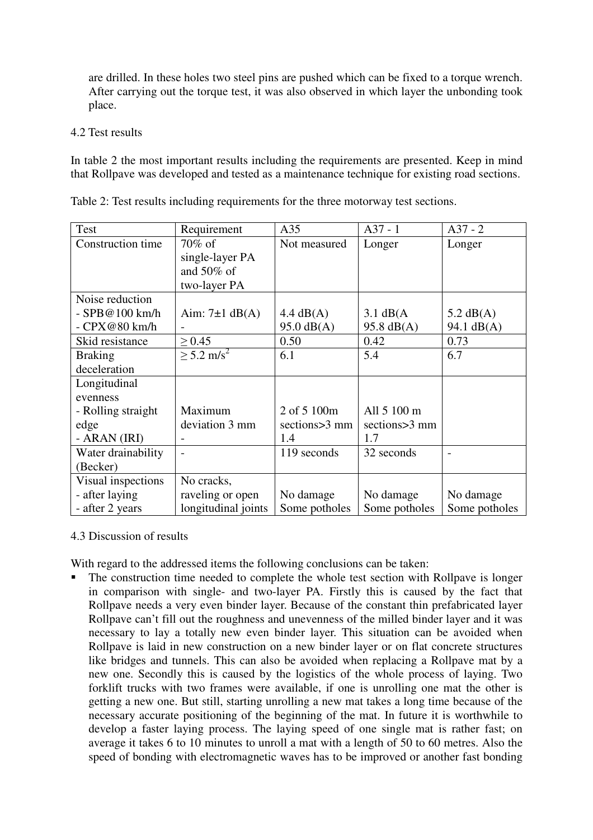are drilled. In these holes two steel pins are pushed which can be fixed to a torque wrench. After carrying out the torque test, it was also observed in which layer the unbonding took place.

# 4.2 Test results

In table 2 the most important results including the requirements are presented. Keep in mind that Rollpave was developed and tested as a maintenance technique for existing road sections.

| <b>Test</b>        | Requirement              | A35                  | $A37 - 1$           | $A37 - 2$           |
|--------------------|--------------------------|----------------------|---------------------|---------------------|
| Construction time  | 70% of                   | Not measured         | Longer              | Longer              |
|                    | single-layer PA          |                      |                     |                     |
|                    | and $50\%$ of            |                      |                     |                     |
|                    | two-layer PA             |                      |                     |                     |
| Noise reduction    |                          |                      |                     |                     |
| - SPB@100 km/h     | Aim: $7\pm1$ dB(A)       | $4.4 \text{ dB}(A)$  | $3.1 \text{ dB}(A)$ | $5.2 \text{ dB}(A)$ |
| $-CPX@80$ km/h     |                          | $95.0 \text{ dB}(A)$ | $95.8$ dB(A)        | 94.1 dB(A)          |
| Skid resistance    | $\geq 0.45$              | 0.50                 | 0.42                | 0.73                |
| <b>Braking</b>     | $> 5.2$ m/s <sup>2</sup> | 6.1                  | 5.4                 | 6.7                 |
| deceleration       |                          |                      |                     |                     |
| Longitudinal       |                          |                      |                     |                     |
| evenness           |                          |                      |                     |                     |
| - Rolling straight | Maximum                  | 2 of 5 100m          | All 5 100 m         |                     |
| edge               | deviation 3 mm           | sections>3 mm        | sections>3 mm       |                     |
| - ARAN (IRI)       |                          | 1.4                  | 1.7                 |                     |
| Water drainability |                          | 119 seconds          | 32 seconds          |                     |
| (Becker)           |                          |                      |                     |                     |
| Visual inspections | No cracks,               |                      |                     |                     |
| - after laying     | raveling or open         | No damage            | No damage           | No damage           |
| - after 2 years    | longitudinal joints      | Some potholes        | Some potholes       | Some potholes       |

Table 2: Test results including requirements for the three motorway test sections.

# 4.3 Discussion of results

With regard to the addressed items the following conclusions can be taken:

 The construction time needed to complete the whole test section with Rollpave is longer in comparison with single- and two-layer PA. Firstly this is caused by the fact that Rollpave needs a very even binder layer. Because of the constant thin prefabricated layer Rollpave can't fill out the roughness and unevenness of the milled binder layer and it was necessary to lay a totally new even binder layer. This situation can be avoided when Rollpave is laid in new construction on a new binder layer or on flat concrete structures like bridges and tunnels. This can also be avoided when replacing a Rollpave mat by a new one. Secondly this is caused by the logistics of the whole process of laying. Two forklift trucks with two frames were available, if one is unrolling one mat the other is getting a new one. But still, starting unrolling a new mat takes a long time because of the necessary accurate positioning of the beginning of the mat. In future it is worthwhile to develop a faster laying process. The laying speed of one single mat is rather fast; on average it takes 6 to 10 minutes to unroll a mat with a length of 50 to 60 metres. Also the speed of bonding with electromagnetic waves has to be improved or another fast bonding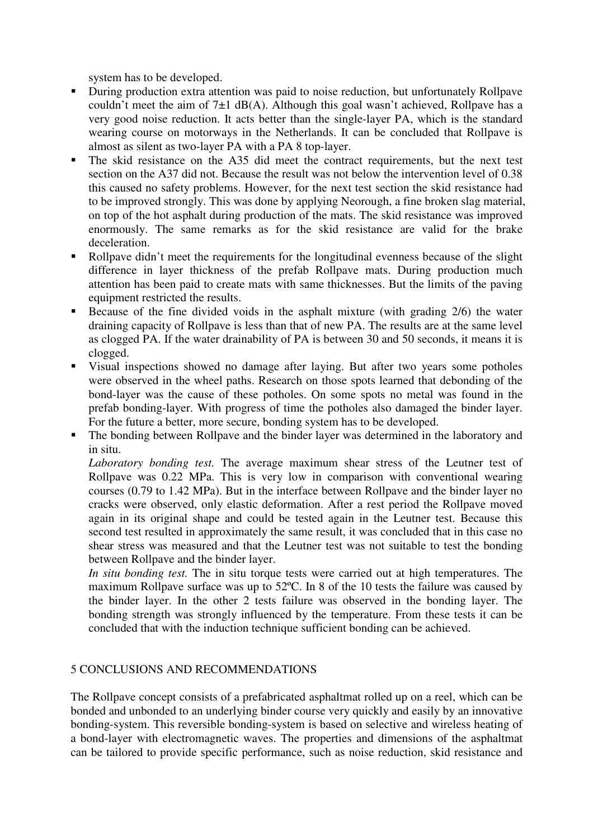system has to be developed.

- During production extra attention was paid to noise reduction, but unfortunately Rollpave couldn't meet the aim of  $7\pm1$  dB(A). Although this goal wasn't achieved, Rollpave has a very good noise reduction. It acts better than the single-layer PA, which is the standard wearing course on motorways in the Netherlands. It can be concluded that Rollpave is almost as silent as two-layer PA with a PA 8 top-layer.
- The skid resistance on the A35 did meet the contract requirements, but the next test section on the A37 did not. Because the result was not below the intervention level of 0.38 this caused no safety problems. However, for the next test section the skid resistance had to be improved strongly. This was done by applying Neorough, a fine broken slag material, on top of the hot asphalt during production of the mats. The skid resistance was improved enormously. The same remarks as for the skid resistance are valid for the brake deceleration.
- Rollpave didn't meet the requirements for the longitudinal evenness because of the slight difference in layer thickness of the prefab Rollpave mats. During production much attention has been paid to create mats with same thicknesses. But the limits of the paving equipment restricted the results.
- Because of the fine divided voids in the asphalt mixture (with grading 2/6) the water draining capacity of Rollpave is less than that of new PA. The results are at the same level as clogged PA. If the water drainability of PA is between 30 and 50 seconds, it means it is clogged.
- Visual inspections showed no damage after laying. But after two years some potholes were observed in the wheel paths. Research on those spots learned that debonding of the bond-layer was the cause of these potholes. On some spots no metal was found in the prefab bonding-layer. With progress of time the potholes also damaged the binder layer. For the future a better, more secure, bonding system has to be developed.
- The bonding between Rollpave and the binder layer was determined in the laboratory and in situ.

*Laboratory bonding test.* The average maximum shear stress of the Leutner test of Rollpave was 0.22 MPa. This is very low in comparison with conventional wearing courses (0.79 to 1.42 MPa). But in the interface between Rollpave and the binder layer no cracks were observed, only elastic deformation. After a rest period the Rollpave moved again in its original shape and could be tested again in the Leutner test. Because this second test resulted in approximately the same result, it was concluded that in this case no shear stress was measured and that the Leutner test was not suitable to test the bonding between Rollpave and the binder layer.

*In situ bonding test.* The in situ torque tests were carried out at high temperatures. The maximum Rollpave surface was up to 52ºC. In 8 of the 10 tests the failure was caused by the binder layer. In the other 2 tests failure was observed in the bonding layer. The bonding strength was strongly influenced by the temperature. From these tests it can be concluded that with the induction technique sufficient bonding can be achieved.

# 5 CONCLUSIONS AND RECOMMENDATIONS

The Rollpave concept consists of a prefabricated asphaltmat rolled up on a reel, which can be bonded and unbonded to an underlying binder course very quickly and easily by an innovative bonding-system. This reversible bonding-system is based on selective and wireless heating of a bond-layer with electromagnetic waves. The properties and dimensions of the asphaltmat can be tailored to provide specific performance, such as noise reduction, skid resistance and